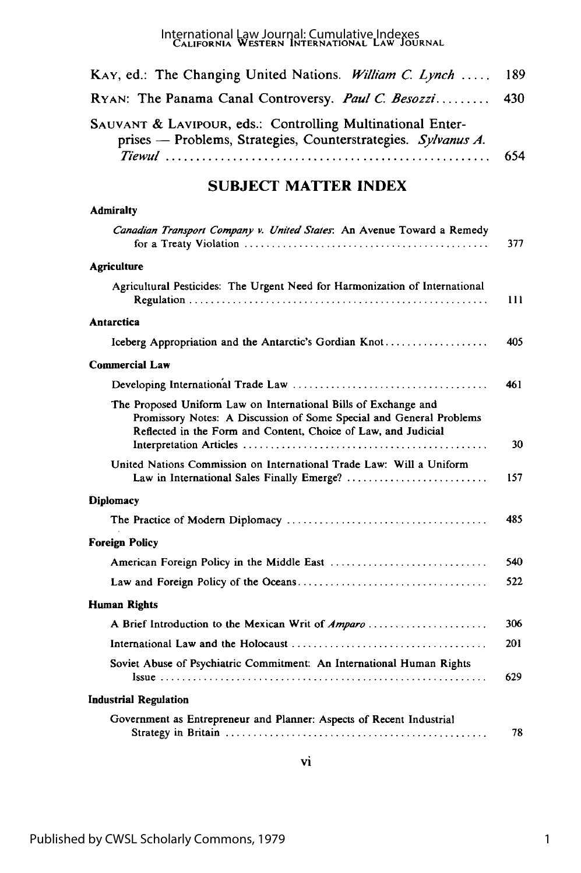| KAY, ed.: The Changing United Nations. William C. Lynch  189                                                                |     |
|-----------------------------------------------------------------------------------------------------------------------------|-----|
| RYAN: The Panama Canal Controversy. Paul C. Besozzi 430                                                                     |     |
| SAUVANT & LAVIPOUR, eds.: Controlling Multinational Enter-<br>prises - Problems, Strategies, Counterstrategies. Sylvanus A. | 654 |

## **SUBJECT MATTER INDEX**

| Canadian Transport Company v. United States: An Avenue Toward a Remedy                                                                                                                                   | 377 |
|----------------------------------------------------------------------------------------------------------------------------------------------------------------------------------------------------------|-----|
| <b>Agriculture</b>                                                                                                                                                                                       |     |
| Agricultural Pesticides: The Urgent Need for Harmonization of International                                                                                                                              | 111 |
| Antarctica                                                                                                                                                                                               |     |
| Iceberg Appropriation and the Antarctic's Gordian Knot                                                                                                                                                   | 405 |
| <b>Commercial Law</b>                                                                                                                                                                                    |     |
|                                                                                                                                                                                                          | 461 |
| The Proposed Uniform Law on International Bills of Exchange and<br>Promissory Notes: A Discussion of Some Special and General Problems<br>Reflected in the Form and Content, Choice of Law, and Judicial | 30  |
| United Nations Commission on International Trade Law: Will a Uniform                                                                                                                                     | 157 |
| <b>Diplomacy</b>                                                                                                                                                                                         |     |
|                                                                                                                                                                                                          | 485 |
| <b>Foreign Policy</b>                                                                                                                                                                                    |     |
|                                                                                                                                                                                                          | 540 |
|                                                                                                                                                                                                          | 522 |
| <b>Human Rights</b>                                                                                                                                                                                      |     |
| A Brief Introduction to the Mexican Writ of <i>Amparo</i>                                                                                                                                                | 306 |
|                                                                                                                                                                                                          | 201 |
| Soviet Abuse of Psychiatric Commitment: An International Human Rights                                                                                                                                    | 629 |
| <b>Industrial Regulation</b>                                                                                                                                                                             |     |
| Government as Entrepreneur and Planner: Aspects of Recent Industrial                                                                                                                                     | 78  |

Admiralty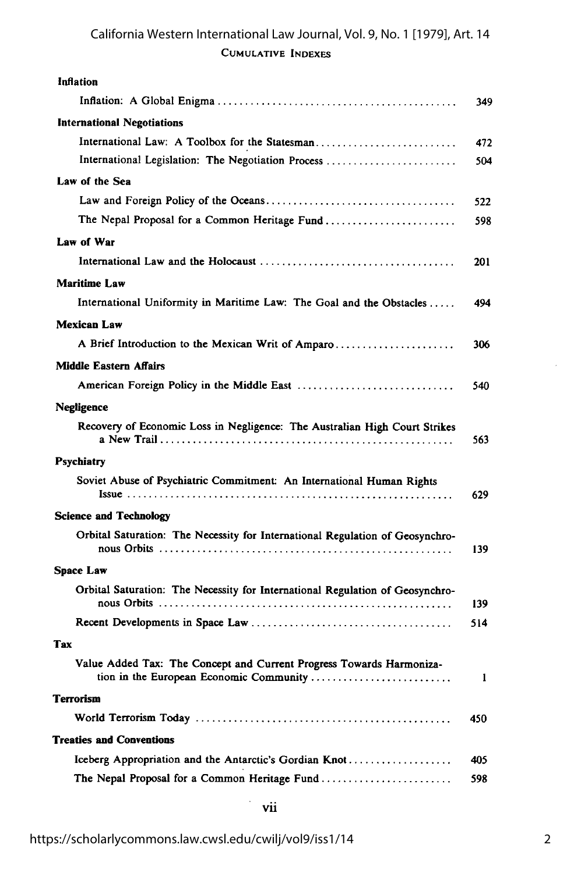**CUMULATIVE INDEXES** California Western International Law Journal, Vol. 9, No. 1 [1979], Art. 14

| Inflation                                                                                                       |              |
|-----------------------------------------------------------------------------------------------------------------|--------------|
|                                                                                                                 | 349          |
| <b>International Negotiations</b>                                                                               |              |
| International Law: A Toolbox for the Statesman                                                                  | 472          |
| International Legislation: The Negotiation Process                                                              | 504          |
| Law of the Sea                                                                                                  |              |
|                                                                                                                 | 522          |
| The Nepal Proposal for a Common Heritage Fund                                                                   | 598          |
| Law of War                                                                                                      |              |
|                                                                                                                 | 201          |
| <b>Maritime Law</b>                                                                                             |              |
| International Uniformity in Maritime Law: The Goal and the Obstacles                                            | 494          |
| <b>Mexican Law</b>                                                                                              |              |
| A Brief Introduction to the Mexican Writ of Amparo                                                              | 306          |
| <b>Middle Eastern Affairs</b>                                                                                   |              |
|                                                                                                                 | 540          |
| Negligence                                                                                                      |              |
| Recovery of Economic Loss in Negligence: The Australian High Court Strikes                                      | 563.         |
| Psychiatry                                                                                                      |              |
| Soviet Abuse of Psychiatric Commitment: An International Human Rights                                           | 629.         |
| <b>Science and Technology</b>                                                                                   |              |
| Orbital Saturation: The Necessity for International Regulation of Geosynchro-                                   | 139.         |
| <b>Space Law</b>                                                                                                |              |
| Orbital Saturation: The Necessity for International Regulation of Geosynchro-                                   | 139          |
|                                                                                                                 | 514          |
| Tax                                                                                                             |              |
| Value Added Tax: The Concept and Current Progress Towards Harmoniza-<br>tion in the European Economic Community | $\mathbf{I}$ |
| Terrorism                                                                                                       |              |
|                                                                                                                 | 450          |
| <b>Treaties and Conventions</b>                                                                                 |              |
| Iceberg Appropriation and the Antarctic's Gordian Knot                                                          | 405          |
| The Nepal Proposal for a Common Heritage Fund                                                                   | 598          |
|                                                                                                                 |              |